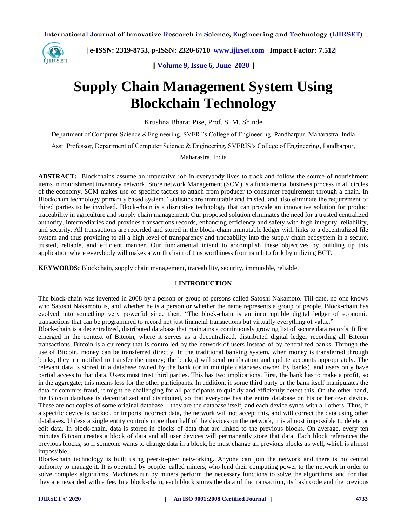

 **| e-ISSN: 2319-8753, p-ISSN: 2320-6710| [www.ijirset.com](http://www.ijirset.com/) | Impact Factor: 7.512|**

**|| Volume 9, Issue 6, June 2020 ||** 

# **Supply Chain Management System Using Blockchain Technology**

Krushna Bharat Pise, Prof. S. M. Shinde

Department of Computer Science &Engineering, SVERI's College of Engineering, Pandharpur, Maharastra, India

Asst. Professor, Department of Computer Science & Engineering, SVERIS's College of Engineering, Pandharpur,

Maharastra, India

**ABSTRACT:** Blockchains assume an imperative job in everybody lives to track and follow the source of nourishment items in nourishment inventory network. Store network Management (SCM) is a fundamental business process in all circles of the economy. SCM makes use of specific tactics to attach from producer to consumer requirement through a chain. In Blockchain technology primarily based system, "statistics are immutable and trusted, and also eliminate the requirement of thired parties to be involved. Block-chain is a disruptive technology that can provide an innovative solution for product traceability in agriculture and supply chain management. Our proposed solution eliminates the need for a trusted centralized authority, intermediaries and provides transactions records, enhancing efficiency and safety with high integrity, reliability, and security. All transactions are recorded and stored in the block-chain immutable ledger with links to a decentralized file system and thus providing to all a high level of transparency and traceability into the supply chain ecosystem in a secure, trusted, reliable, and efficient manner. Our fundamental intend to accomplish these objectives by building up this application where everybody will makes a worth chain of trustworthiness from ranch to fork by utilizing BCT.

**KEYWORDS***:* Blockchain, supply chain management, traceability, security, immutable, reliable.

#### I.**INTRODUCTION**

The block-chain was invented in 2008 by a person or group of persons called Satoshi Nakamoto. Till date, no one knows who Satoshi Nakamoto is, and whether he is a person or whether the name represents a group of people. Block-chain has evolved into something very powerful since then. "The block-chain is an incorruptible digital ledger of economic transactions that can be programmed to record not just financial transactions but virtually everything of value."

Block-chain is a decentralized, distributed database that maintains a continuously growing list of secure data records. It first emerged in the context of Bitcoin, where it serves as a decentralized, distributed digital ledger recording all Bitcoin transactions. Bitcoin is a currency that is controlled by the network of users instead of by centralized banks. Through the use of Bitcoin, money can be transferred directly. In the traditional banking system, when money is transferred through banks, they are notified to transfer the money; the bank(s) will send notification and update accounts appropriately. The relevant data is stored in a database owned by the bank (or in multiple databases owned by banks), and users only have partial access to that data. Users must trust third parties. This has two implications. First, the bank has to make a profit, so in the aggregate; this means less for the other participants. In addition, if some third party or the bank itself manipulates the data or commits fraud, it might be challenging for all participants to quickly and efficiently detect this. On the other hand, the Bitcoin database is decentralized and distributed, so that everyone has the entire database on his or her own device. These are not copies of some original database – they are the database itself, and each device syncs with all others. Thus, if a specific device is hacked, or imports incorrect data, the network will not accept this, and will correct the data using other databases. Unless a single entity controls more than half of the devices on the network, it is almost impossible to delete or edit data. In block-chain, data is stored in blocks of data that are linked to the previous blocks. On average, every ten minutes Bitcoin creates a block of data and all user devices will permanently store that data. Each block references the previous blocks, so if someone wants to change data in a block, he must change all previous blocks as well, which is almost impossible.

Block-chain technology is built using peer-to-peer networking. Anyone can join the network and there is no central authority to manage it. It is operated by people, called miners, who lend their computing power to the network in order to solve complex algorithms. Machines run by miners perform the necessary functions to solve the algorithms, and for that they are rewarded with a fee. In a block-chain, each block stores the data of the transaction, its hash code and the previous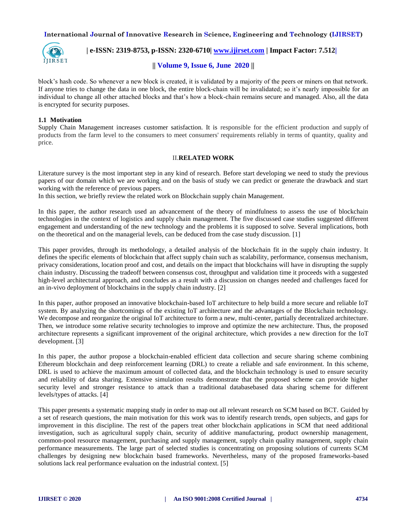

 **| e-ISSN: 2319-8753, p-ISSN: 2320-6710| [www.ijirset.com](http://www.ijirset.com/) | Impact Factor: 7.512|**

# **|| Volume 9, Issue 6, June 2020 ||**

block's hash code. So whenever a new block is created, it is validated by a majority of the peers or miners on that network. If anyone tries to change the data in one block, the entire block-chain will be invalidated; so it's nearly impossible for an individual to change all other attached blocks and that's how a block-chain remains secure and managed. Also, all the data is encrypted for security purposes.

#### **1.1 Motivation**

Supply Chain Management increases customer satisfaction. It is responsible for the efficient production and supply of products from the farm level to the consumers to meet consumers' requirements reliably in terms of quantity, quality and price.

#### II.**RELATED WORK**

Literature survey is the most important step in any kind of research. Before start developing we need to study the previous papers of our domain which we are working and on the basis of study we can predict or generate the drawback and start working with the reference of previous papers.

In this section, we briefly review the related work on Blockchain supply chain Management.

In this paper, the author research used an advancement of the theory of mindfulness to assess the use of blockchain technologies in the context of logistics and supply chain management. The five discussed case studies suggested different engagement and understanding of the new technology and the problems it is supposed to solve. Several implications, both on the theoretical and on the managerial levels, can be deduced from the case study discussion. [1]

This paper provides, through its methodology, a detailed analysis of the blockchain fit in the supply chain industry. It defines the specific elements of blockchain that affect supply chain such as scalability, performance, consensus mechanism, privacy considerations, location proof and cost, and details on the impact that blockchains will have in disrupting the supply chain industry. Discussing the tradeoff between consensus cost, throughput and validation time it proceeds with a suggested high-level architectural approach, and concludes as a result with a discussion on changes needed and challenges faced for an in-vivo deployment of blockchains in the supply chain industry. [2]

In this paper, author proposed an innovative blockchain-based IoT architecture to help build a more secure and reliable IoT system. By analyzing the shortcomings of the existing IoT architecture and the advantages of the Blockchain technology. We decompose and reorganize the original IoT architecture to form a new, multi-center, partially decentralized architecture. Then, we introduce some relative security technologies to improve and optimize the new architecture. Thus, the proposed architecture represents a significant improvement of the original architecture, which provides a new direction for the IoT development. [3]

In this paper, the author propose a blockchain-enabled efficient data collection and secure sharing scheme combining Ethereum blockchain and deep reinforcement learning (DRL) to create a reliable and safe environment. In this scheme, DRL is used to achieve the maximum amount of collected data, and the blockchain technology is used to ensure security and reliability of data sharing. Extensive simulation results demonstrate that the proposed scheme can provide higher security level and stronger resistance to attack than a traditional databasebased data sharing scheme for different levels/types of attacks. [4]

This paper presents a systematic mapping study in order to map out all relevant research on SCM based on BCT. Guided by a set of research questions, the main motivation for this work was to identify research trends, open subjects, and gaps for improvement in this discipline. The rest of the papers treat other blockchain applications in SCM that need additional investigation, such as agricultural supply chain, security of additive manufacturing, product ownership management, common-pool resource management, purchasing and supply management, supply chain quality management, supply chain performance measurements. The large part of selected studies is concentrating on proposing solutions of currents SCM challenges by designing new blockchain based frameworks. Nevertheless, many of the proposed frameworks-based solutions lack real performance evaluation on the industrial context. [5]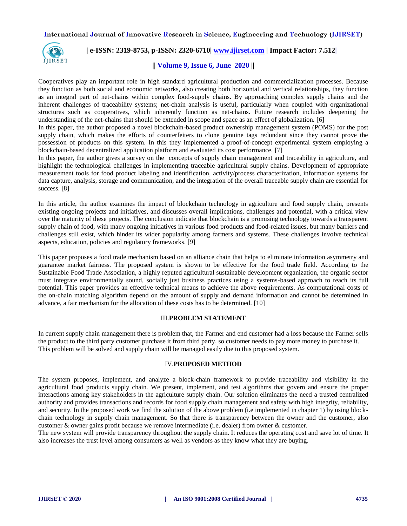

# **| e-ISSN: 2319-8753, p-ISSN: 2320-6710| [www.ijirset.com](http://www.ijirset.com/) | Impact Factor: 7.512|**

# **|| Volume 9, Issue 6, June 2020 ||**

Cooperatives play an important role in high standard agricultural production and commercialization processes. Because they function as both social and economic networks, also creating both horizontal and vertical relationships, they function as an integral part of net-chains within complex food-supply chains. By approaching complex supply chains and the inherent challenges of traceability systems; net-chain analysis is useful, particularly when coupled with organizational structures such as cooperatives, which inherently function as net-chains. Future research includes deepening the understanding of the net-chains that should be extended in scope and space as an effect of globalization. [6]

In this paper, the author proposed a novel blockchain-based product ownership management system (POMS) for the post supply chain, which makes the efforts of counterfeiters to clone genuine tags redundant since they cannot prove the possession of products on this system. In this they implemented a proof-of-concept experimental system employing a blockchain-based decentralized application platform and evaluated its cost performance. [7]

In this paper, the author gives a survey on the concepts of supply chain management and traceability in agriculture, and highlight the technological challenges in implementing traceable agricultural supply chains. Development of appropriate measurement tools for food product labeling and identification, activity/process characterization, information systems for data capture, analysis, storage and communication, and the integration of the overall traceable supply chain are essential for success. [8]

In this article, the author examines the impact of blockchain technology in agriculture and food supply chain, presents existing ongoing projects and initiatives, and discusses overall implications, challenges and potential, with a critical view over the maturity of these projects. The conclusion indicate that blockchain is a promising technology towards a transparent supply chain of food, with many ongoing initiatives in various food products and food-related issues, but many barriers and challenges still exist, which hinder its wider popularity among farmers and systems. These challenges involve technical aspects, education, policies and regulatory frameworks. [9]

This paper proposes a food trade mechanism based on an alliance chain that helps to eliminate information asymmetry and guarantee market fairness. The proposed system is shown to be effective for the food trade field. According to the Sustainable Food Trade Association, a highly reputed agricultural sustainable development organization, the organic sector must integrate environmentally sound, socially just business practices using a systems-based approach to reach its full potential. This paper provides an effective technical means to achieve the above requirements. As computational costs of the on-chain matching algorithm depend on the amount of supply and demand information and cannot be determined in advance, a fair mechanism for the allocation of these costs has to be determined. [10]

## III.**PROBLEM STATEMENT**

In current supply chain management there is problem that, the Farmer and end customer had a loss because the Farmer sells the product to the third party customer purchase it from third party, so customer needs to pay more money to purchase it. This problem will be solved and supply chain will be managed easily due to this proposed system.

## IV.**PROPOSED METHOD**

The system proposes, implement, and analyze a block-chain framework to provide traceability and visibility in the agricultural food products supply chain. We present, implement, and test algorithms that govern and ensure the proper interactions among key stakeholders in the agriculture supply chain. Our solution eliminates the need a trusted centralized authority and provides transactions and records for food supply chain management and safety with high integrity, reliability, and security. In the proposed work we find the solution of the above problem (i.e implemented in chapter 1) by using blockchain technology in supply chain management. So that there is transparency between the owner and the customer, also customer & owner gains profit because we remove intermediate (i.e. dealer) from owner & customer.

The new system will provide transparency throughout the supply chain. It reduces the operating cost and save lot of time. It also increases the trust level among consumers as well as vendors as they know what they are buying.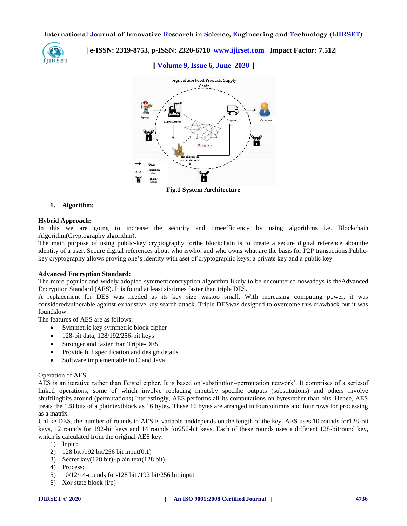

# **| e-ISSN: 2319-8753, p-ISSN: 2320-6710| [www.ijirset.com](http://www.ijirset.com/) | Impact Factor: 7.512|**

# **|| Volume 9, Issue 6, June 2020 ||**



**Fig.1 System Architecture**

#### **1. Algorithm:**

#### **Hybrid Approach:**

In this we are going to increase the security and timeefficiency by using algorithms i.e. Blockchain Algorithm(Cryptography algorithm).

The main purpose of using public-key cryptography forthe blockchain is to create a secure digital reference aboutthe identity of a user. Secure digital references about who iswho, and who owns what,are the basis for P2P transactions.Publickey cryptography allows proving one's identity with aset of cryptographic keys: a private key and a public key.

#### **Advanced Encryption Standard:**

The more popular and widely adopted symmetricencryption algorithm likely to be encountered nowadays is theAdvanced Encryption Standard (AES). It is found at least sixtimes faster than triple DES.

A replacement for DES was needed as its key size wastoo small. With increasing computing power, it was consideredvulnerable against exhaustive key search attack. Triple DESwas designed to overcome this drawback but it was foundslow.

The features of AES are as follows:

- Symmetric key symmetric block cipher
- 128-bit data, 128/192/256-bit keys
- Stronger and faster than Triple-DES
- Provide full specification and design details
- Software implementable in C and Java

#### Operation of AES:

AES is an iterative rather than Feistel cipher. It is based on'substitution–permutation network'. It comprises of a seriesof linked operations, some of which involve replacing inputsby specific outputs (substitutions) and others involve shufflingbits around (permutations).Interestingly, AES performs all its computations on bytesrather than bits. Hence, AES treats the 128 bits of a plaintextblock as 16 bytes. These 16 bytes are arranged in fourcolumns and four rows for processing as a matrix.

Unlike DES, the number of rounds in AES is variable anddepends on the length of the key. AES uses 10 rounds for128-bit keys, 12 rounds for 192-bit keys and 14 rounds for256-bit keys. Each of these rounds uses a different 128-bitround key, which is calculated from the original AES key.

- 1) Input:
- 2) 128 bit /192 bit/256 bit input(0,1)
- 3) Secret key(128 bit)+plain text(128 bit).
- 4) Process:
- 5) 10/12/14-rounds for-128 bit /192 bit/256 bit input
- 6) Xor state block  $(i/p)$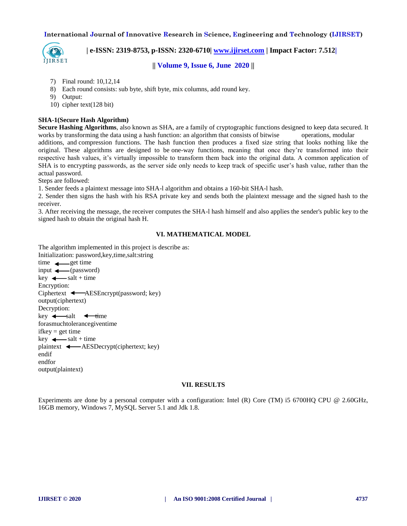

 **| e-ISSN: 2319-8753, p-ISSN: 2320-6710| [www.ijirset.com](http://www.ijirset.com/) | Impact Factor: 7.512|**

**|| Volume 9, Issue 6, June 2020 ||** 

- 7) Final round: 10,12,14
- 8) Each round consists: sub byte, shift byte, mix columns, add round key.
- 9) Output:
- 10) cipher text(128 bit)

#### **SHA-1(Secure Hash Algorithm)**

**Secure Hashing Algorithms**, also known as SHA, are a family of [cryptographic](https://brilliant.org/wiki/cryptography/) functions designed to keep data secured. It works by transforming the data using a [hash function:](https://brilliant.org/wiki/hash-function/) an algorithm that consists of bitwise [operations,](https://brilliant.org/wiki/bitwise-operations/) modular [additions,](https://brilliant.org/wiki/modular-additions/?wiki_title=modular%20additions) and [compression functions.](https://brilliant.org/wiki/compression-functions/?wiki_title=compression%20functions) The hash function then produces a fixed size string that looks nothing like the original. These algorithms are designed to be [one-way functions,](https://brilliant.org/wiki/one-way-functions/?wiki_title=one-way%20functions) meaning that once they're transformed into their respective hash values, it's virtually impossible to transform them back into the original data. A common application of SHA is to encrypting passwords, as the server side only needs to keep track of specific user's hash value, rather than the actual password.

Steps are followed:

1. Sender feeds a plaintext message into SHA-l algorithm and obtains a 160-bit SHA-l hash.

2. Sender then signs the hash with his RSA private key and sends both the plaintext message and the signed hash to the receiver.

3. After receiving the message, the receiver computes the SHA-l hash himself and also applies the sender's public key to the signed hash to obtain the original hash H.

## **VI. MATHEMATICAL MODEL**

The algorithm implemented in this project is describe as:

```
Initialization: password,key,time,salt:string
time \leftarrow get time
input \longleftarrow (password)
key \leftarrow salt + time
Encryption:
Ciphertext \leftarrow AESEncrypt(password; key)
output(ciphertext)
Decryption:
key \leftarrow salt \leftarrow time
forasmuchtolerancegiventime
ifkey = get time
key \leftarrow salt + timeplaintext \leftarrow AESDecrypt(ciphertext; key)
endif
endfor
output(plaintext)
```
#### **VII. RESULTS**

Experiments are done by a personal computer with a configuration: Intel (R) Core (TM) i5 6700HQ CPU @ 2.60GHz, 16GB memory, Windows 7, MySQL Server 5.1 and Jdk 1.8.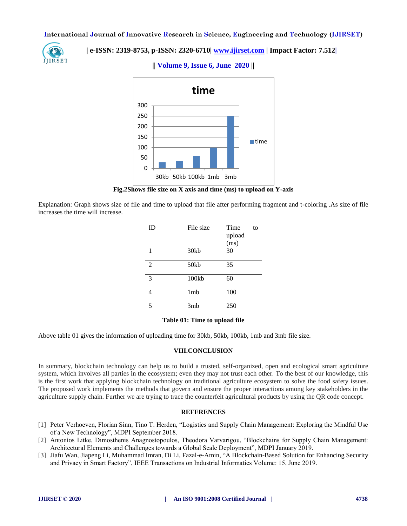

# **| e-ISSN: 2319-8753, p-ISSN: 2320-6710| [www.ijirset.com](http://www.ijirset.com/) | Impact Factor: 7.512|**



**|| Volume 9, Issue 6, June 2020 ||** 

**Fig.2Shows file size on X axis and time (ms) to upload on Y-axis**

Explanation: Graph shows size of file and time to upload that file after performing fragment and t-coloring .As size of file increases the time will increase.

| ID             | File size | Time<br>to |
|----------------|-----------|------------|
|                |           | upload     |
|                |           | (ms)       |
| 1              | 30kb      | 30         |
|                |           |            |
| $\overline{2}$ | 50kb      | 35         |
|                |           |            |
| 3              | 100kb     | 60         |
|                |           |            |
| 4              | 1mb       | 100        |
|                |           |            |
| 5              | 3mb       | 250        |
|                |           |            |

**Table 01: Time to upload file**

Above table 01 gives the information of uploading time for 30kb, 50kb, 100kb, 1mb and 3mb file size.

#### **VIII.CONCLUSION**

In summary, blockchain technology can help us to build a trusted, self-organized, open and ecological smart agriculture system, which involves all parties in the ecosystem; even they may not trust each other. To the best of our knowledge, this is the first work that applying blockchain technology on traditional agriculture ecosystem to solve the food safety issues. The proposed work implements the methods that govern and ensure the proper interactions among key stakeholders in the agriculture supply chain. Further we are trying to trace the counterfeit agricultural products by using the QR code concept.

## **REFERENCES**

- [1] Peter Verhoeven, Florian Sinn, Tino T. Herden, "Logistics and Supply Chain Management: Exploring the Mindful Use of a New Technology", MDPI September 2018.
- [2] Antonios Litke, Dimosthenis Anagnostopoulos, Theodora Varvarigou, "Blockchains for Supply Chain Management: Architectural Elements and Challenges towards a Global Scale Deployment", MDPI January 2019.
- [3] Jiafu Wan, Jiapeng Li, Muhammad Imran, Di Li, Fazal-e-Amin, "A Blockchain-Based Solution for Enhancing Security and Privacy in Smart Factory", IEEE Transactions on Industrial Informatics Volume: 15, June 2019.